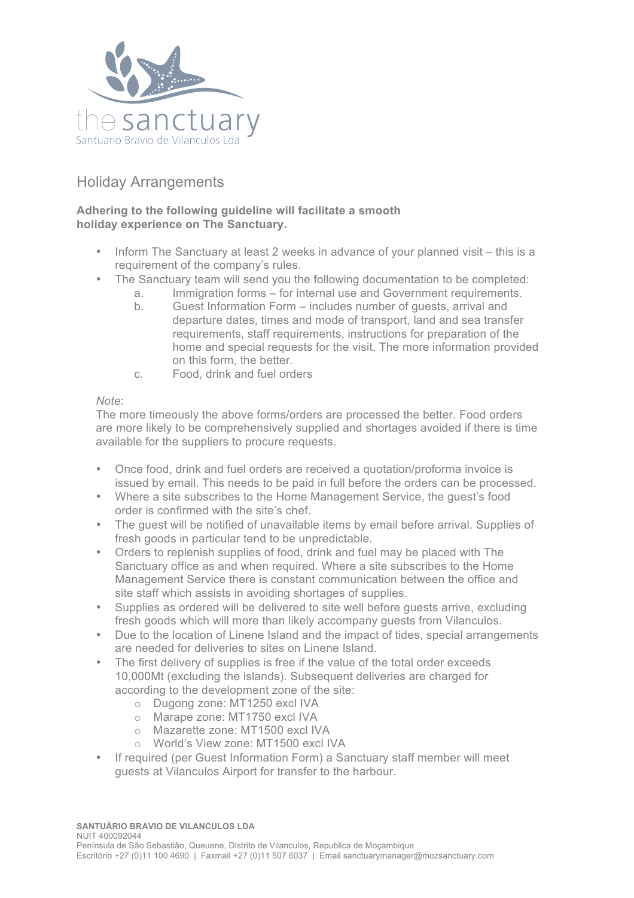

## Holiday Arrangements

## **Adhering to the following guideline will facilitate a smooth holiday experience on The Sanctuary.**

- Inform The Sanctuary at least 2 weeks in advance of your planned visit this is a requirement of the company's rules.
- The Sanctuary team will send you the following documentation to be completed:
	- a. Immigration forms for internal use and Government requirements.
	- b. Guest Information Form includes number of guests, arrival and departure dates, times and mode of transport, land and sea transfer requirements, staff requirements, instructions for preparation of the home and special requests for the visit. The more information provided on this form, the better.
	- c. Food, drink and fuel orders

## *Note*:

The more timeously the above forms/orders are processed the better. Food orders are more likely to be comprehensively supplied and shortages avoided if there is time available for the suppliers to procure requests.

- Once food, drink and fuel orders are received a quotation/proforma invoice is issued by email. This needs to be paid in full before the orders can be processed.
- Where a site subscribes to the Home Management Service, the guest's food order is confirmed with the site's chef.
- The guest will be notified of unavailable items by email before arrival. Supplies of fresh goods in particular tend to be unpredictable.
- Orders to replenish supplies of food, drink and fuel may be placed with The Sanctuary office as and when required. Where a site subscribes to the Home Management Service there is constant communication between the office and site staff which assists in avoiding shortages of supplies.
- Supplies as ordered will be delivered to site well before guests arrive, excluding fresh goods which will more than likely accompany guests from Vilanculos.
- Due to the location of Linene Island and the impact of tides, special arrangements are needed for deliveries to sites on Linene Island.
- The first delivery of supplies is free if the value of the total order exceeds 10,000Mt (excluding the islands). Subsequent deliveries are charged for according to the development zone of the site:
	- o Dugong zone: MT1250 excl IVA
	- o Marape zone: MT1750 excl IVA
	- o Mazarette zone: MT1500 excl IVA
	- o World's View zone: MT1500 excl IVA
- If required (per Guest Information Form) a Sanctuary staff member will meet guests at Vilanculos Airport for transfer to the harbour.